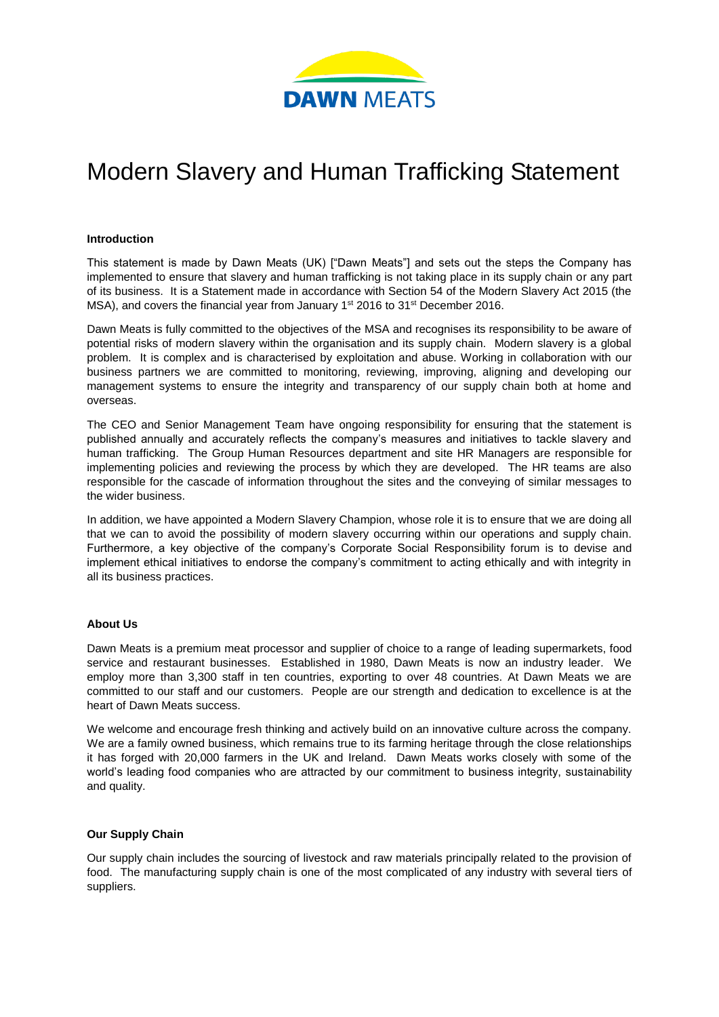

# Modern Slavery and Human Trafficking Statement

#### **Introduction**

This statement is made by Dawn Meats (UK) ["Dawn Meats"] and sets out the steps the Company has implemented to ensure that slavery and human trafficking is not taking place in its supply chain or any part of its business. It is a Statement made in accordance with Section 54 of the Modern Slavery Act 2015 (the MSA), and covers the financial year from January 1<sup>st</sup> 2016 to 31<sup>st</sup> December 2016.

Dawn Meats is fully committed to the objectives of the MSA and recognises its responsibility to be aware of potential risks of modern slavery within the organisation and its supply chain. Modern slavery is a global problem. It is complex and is characterised by exploitation and abuse. Working in collaboration with our business partners we are committed to monitoring, reviewing, improving, aligning and developing our management systems to ensure the integrity and transparency of our supply chain both at home and overseas.

The CEO and Senior Management Team have ongoing responsibility for ensuring that the statement is published annually and accurately reflects the company's measures and initiatives to tackle slavery and human trafficking. The Group Human Resources department and site HR Managers are responsible for implementing policies and reviewing the process by which they are developed. The HR teams are also responsible for the cascade of information throughout the sites and the conveying of similar messages to the wider business.

In addition, we have appointed a Modern Slavery Champion, whose role it is to ensure that we are doing all that we can to avoid the possibility of modern slavery occurring within our operations and supply chain. Furthermore, a key objective of the company's Corporate Social Responsibility forum is to devise and implement ethical initiatives to endorse the company's commitment to acting ethically and with integrity in all its business practices.

# **About Us**

Dawn Meats is a premium meat processor and supplier of choice to a range of leading supermarkets, food service and restaurant businesses. Established in 1980, Dawn Meats is now an industry leader. We employ more than 3,300 staff in ten countries, exporting to over 48 countries. At Dawn Meats we are committed to our staff and our customers. People are our strength and dedication to excellence is at the heart of Dawn Meats success.

We welcome and encourage fresh thinking and actively build on an innovative culture across the company. We are a family owned business, which remains true to its farming heritage through the close relationships it has forged with 20,000 farmers in the UK and Ireland. Dawn Meats works closely with some of the world's leading food companies who are attracted by our commitment to business integrity, sustainability and quality.

#### **Our Supply Chain**

Our supply chain includes the sourcing of livestock and raw materials principally related to the provision of food. The manufacturing supply chain is one of the most complicated of any industry with several tiers of suppliers.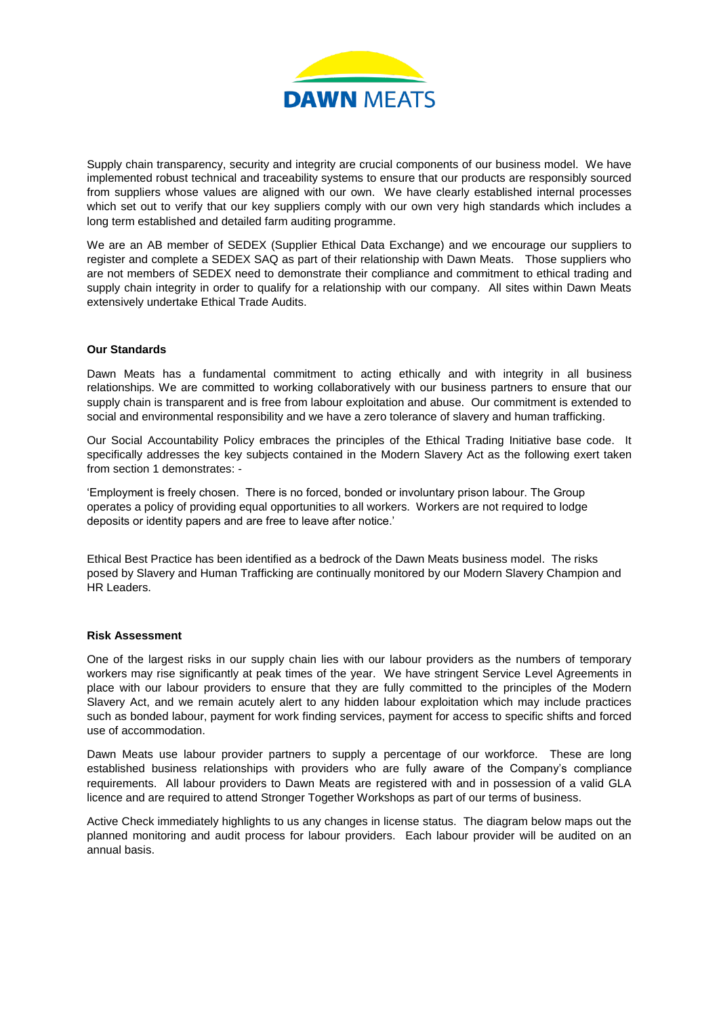

Supply chain transparency, security and integrity are crucial components of our business model. We have implemented robust technical and traceability systems to ensure that our products are responsibly sourced from suppliers whose values are aligned with our own. We have clearly established internal processes which set out to verify that our key suppliers comply with our own very high standards which includes a long term established and detailed farm auditing programme.

We are an AB member of SEDEX (Supplier Ethical Data Exchange) and we encourage our suppliers to register and complete a SEDEX SAQ as part of their relationship with Dawn Meats. Those suppliers who are not members of SEDEX need to demonstrate their compliance and commitment to ethical trading and supply chain integrity in order to qualify for a relationship with our company. All sites within Dawn Meats extensively undertake Ethical Trade Audits.

#### **Our Standards**

Dawn Meats has a fundamental commitment to acting ethically and with integrity in all business relationships. We are committed to working collaboratively with our business partners to ensure that our supply chain is transparent and is free from labour exploitation and abuse. Our commitment is extended to social and environmental responsibility and we have a zero tolerance of slavery and human trafficking.

Our Social Accountability Policy embraces the principles of the Ethical Trading Initiative base code. It specifically addresses the key subjects contained in the Modern Slavery Act as the following exert taken from section 1 demonstrates: -

'Employment is freely chosen. There is no forced, bonded or involuntary prison labour. The Group operates a policy of providing equal opportunities to all workers. Workers are not required to lodge deposits or identity papers and are free to leave after notice.'

Ethical Best Practice has been identified as a bedrock of the Dawn Meats business model. The risks posed by Slavery and Human Trafficking are continually monitored by our Modern Slavery Champion and HR Leaders.

#### **Risk Assessment**

One of the largest risks in our supply chain lies with our labour providers as the numbers of temporary workers may rise significantly at peak times of the year. We have stringent Service Level Agreements in place with our labour providers to ensure that they are fully committed to the principles of the Modern Slavery Act, and we remain acutely alert to any hidden labour exploitation which may include practices such as bonded labour, payment for work finding services, payment for access to specific shifts and forced use of accommodation.

Dawn Meats use labour provider partners to supply a percentage of our workforce. These are long established business relationships with providers who are fully aware of the Company's compliance requirements. All labour providers to Dawn Meats are registered with and in possession of a valid GLA licence and are required to attend Stronger Together Workshops as part of our terms of business.

Active Check immediately highlights to us any changes in license status. The diagram below maps out the planned monitoring and audit process for labour providers. Each labour provider will be audited on an annual basis.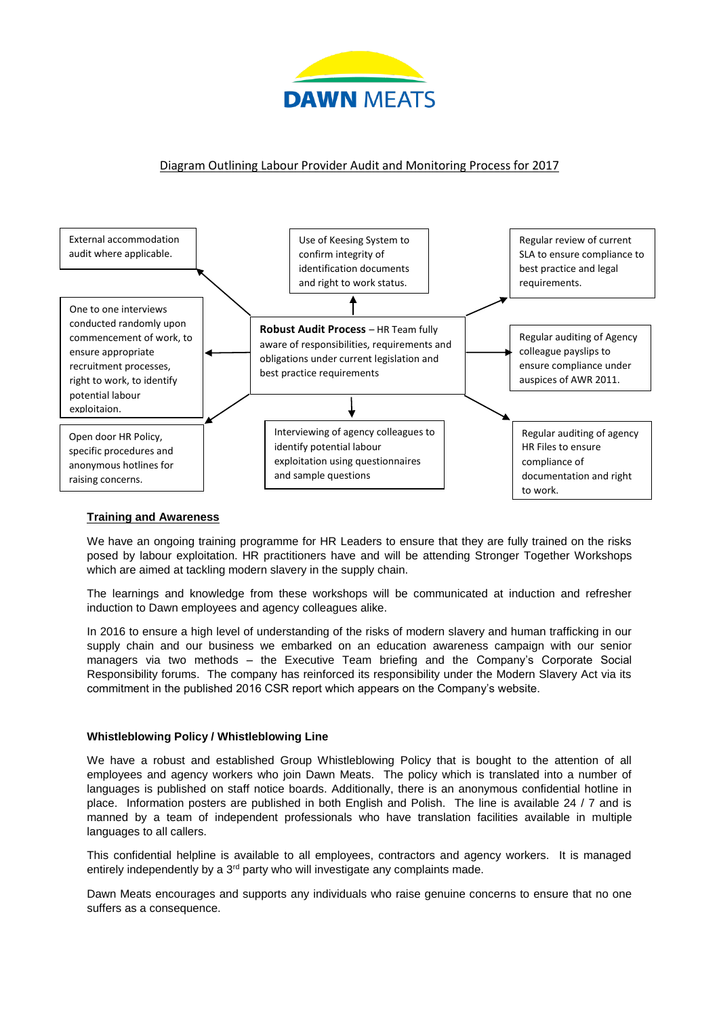

# Diagram Outlining Labour Provider Audit and Monitoring Process for 2017



# **Training and Awareness**

We have an ongoing training programme for HR Leaders to ensure that they are fully trained on the risks posed by labour exploitation. HR practitioners have and will be attending Stronger Together Workshops which are aimed at tackling modern slavery in the supply chain.

The learnings and knowledge from these workshops will be communicated at induction and refresher induction to Dawn employees and agency colleagues alike.

In 2016 to ensure a high level of understanding of the risks of modern slavery and human trafficking in our supply chain and our business we embarked on an education awareness campaign with our senior managers via two methods – the Executive Team briefing and the Company's Corporate Social Responsibility forums. The company has reinforced its responsibility under the Modern Slavery Act via its commitment in the published 2016 CSR report which appears on the Company's website.

# **Whistleblowing Policy / Whistleblowing Line**

We have a robust and established Group Whistleblowing Policy that is bought to the attention of all employees and agency workers who join Dawn Meats. The policy which is translated into a number of languages is published on staff notice boards. Additionally, there is an anonymous confidential hotline in place. Information posters are published in both English and Polish. The line is available 24 / 7 and is manned by a team of independent professionals who have translation facilities available in multiple languages to all callers.

This confidential helpline is available to all employees, contractors and agency workers. It is managed entirely independently by a 3<sup>rd</sup> party who will investigate any complaints made.

Dawn Meats encourages and supports any individuals who raise genuine concerns to ensure that no one suffers as a consequence.